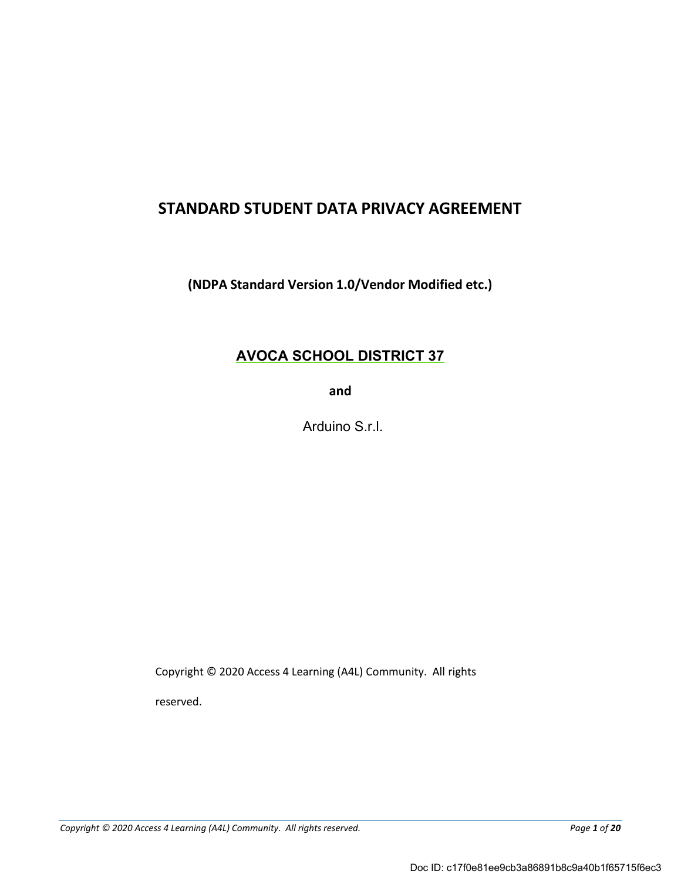# **STANDARD STUDENT DATA PRIVACY AGREEMENT**

**(NDPA Standard Version 1.0/Vendor Modified etc.)**

## **AVOCA SCHOOL DISTRICT 37**

**and** 

Arduino S.r.l.

Copyright © 2020 Access 4 Learning (A4L) Community. All rights

reserved.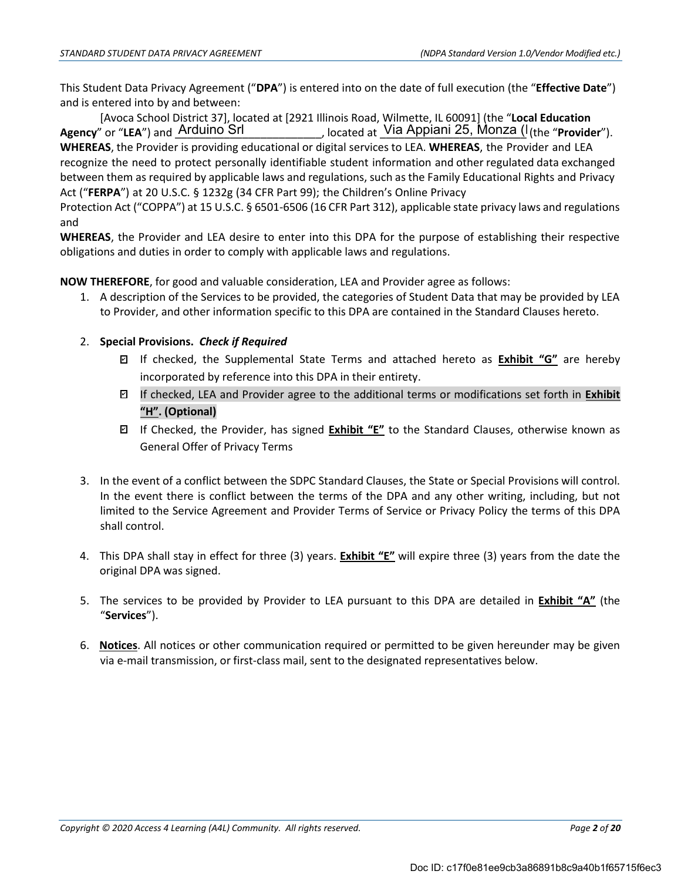This Student Data Privacy Agreement ("**DPA**") is entered into on the date of full execution (the "**Effective Date**") and is entered into by and between:

[Avoca School District 37], located at [2921 Illinois Road, Wilmette, IL 60091] (the "**Local Education** Agency" or "LEA") and <u>Arduino Srlaten (Incepted at Lia Appiani 25, Monza (Incertedor</u>"). **WHEREAS**, the Provider is providing educational or digital services to LEA. **WHEREAS**, the Provider and LEA Agency" or "LEA") and Arduino Srl

recognize the need to protect personally identifiable student information and other regulated data exchanged between them as required by applicable laws and regulations, such as the Family Educational Rights and Privacy Act ("**FERPA**") at 20 U.S.C. § 1232g (34 CFR Part 99); the Children's Online Privacy

Protection Act ("COPPA") at 15 U.S.C. § 6501-6506 (16 CFR Part 312), applicable state privacy laws and regulations and

**WHEREAS**, the Provider and LEA desire to enter into this DPA for the purpose of establishing their respective obligations and duties in order to comply with applicable laws and regulations.

**NOW THEREFORE**, for good and valuable consideration, LEA and Provider agree as follows:

1. A description of the Services to be provided, the categories of Student Data that may be provided by LEA to Provider, and other information specific to this DPA are contained in the Standard Clauses hereto.

## 2. **Special Provisions.** *Check if Required*

- If checked, the Supplemental State Terms and attached hereto as **Exhibit "G"** are hereby ✔ incorporated by reference into this DPA in their entirety.
- If checked, LEA and Provider agree to the additional terms or modifications set forth in **Exhibit** ✔ **"H". (Optional)**
- If Checked, the Provider, has signed **Exhibit "E"** to the Standard Clauses, otherwise known as ✔ General Offer of Privacy Terms
- 3. In the event of a conflict between the SDPC Standard Clauses, the State or Special Provisions will control. In the event there is conflict between the terms of the DPA and any other writing, including, but not limited to the Service Agreement and Provider Terms of Service or Privacy Policy the terms of this DPA shall control.
- 4. This DPA shall stay in effect for three (3) years. **Exhibit "E"** will expire three (3) years from the date the original DPA was signed.
- 5. The services to be provided by Provider to LEA pursuant to this DPA are detailed in **Exhibit "A"** (the "**Services**").
- 6. **Notices**. All notices or other communication required or permitted to be given hereunder may be given via e-mail transmission, or first-class mail, sent to the designated representatives below.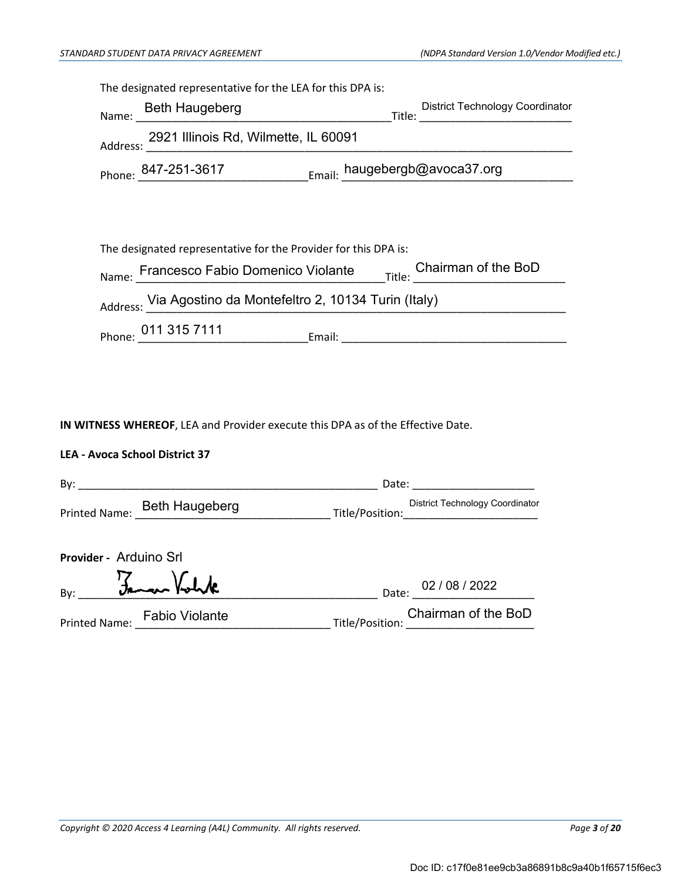| The designated representative for the LEA for this DPA is:                                     |  |                                                                                   |
|------------------------------------------------------------------------------------------------|--|-----------------------------------------------------------------------------------|
| Name: Beth Haugeberg                                                                           |  | District Technology Coordinator<br>$\begin{array}{c}\n\text{Title:}\n\end{array}$ |
| Address: 2921 Illinois Rd, Wilmette, IL 60091<br>Address: 2021 Illinois Rd, Wilmette, IL 60091 |  |                                                                                   |
| Phone: 847-251-3617 Email: haugebergb@avoca37.org                                              |  |                                                                                   |
|                                                                                                |  |                                                                                   |
|                                                                                                |  |                                                                                   |
| The designated representative for the Provider for this DPA is:                                |  |                                                                                   |
|                                                                                                |  |                                                                                   |
| Address: Via Agostino da Montefeltro 2, 10134 Turin (Italy)                                    |  |                                                                                   |
|                                                                                                |  |                                                                                   |
|                                                                                                |  |                                                                                   |
|                                                                                                |  |                                                                                   |

**IN WITNESS WHEREOF**, LEA and Provider execute this DPA as of the Effective Date.

## **LEA - Avoca School District 37**

| By:                          | Date:                                                                                                                                                                              |
|------------------------------|------------------------------------------------------------------------------------------------------------------------------------------------------------------------------------|
| Printed Name: Beth Haugeberg | <b>District Technology Coordinator</b><br>Title/Position:<br><u> 1989 - Johann John Stone, markin film ar yn y breninnas y breninn y breninn y breninn y breninn y breninn y b</u> |
| Provider - Arduino Srl       |                                                                                                                                                                                    |
| Famour Voluk<br>By:          | Date: 02 / 08 / 2022                                                                                                                                                               |
| Printed Name: Fabio Violante | Chairman of the BoD<br>U<br>Title/Position:                                                                                                                                        |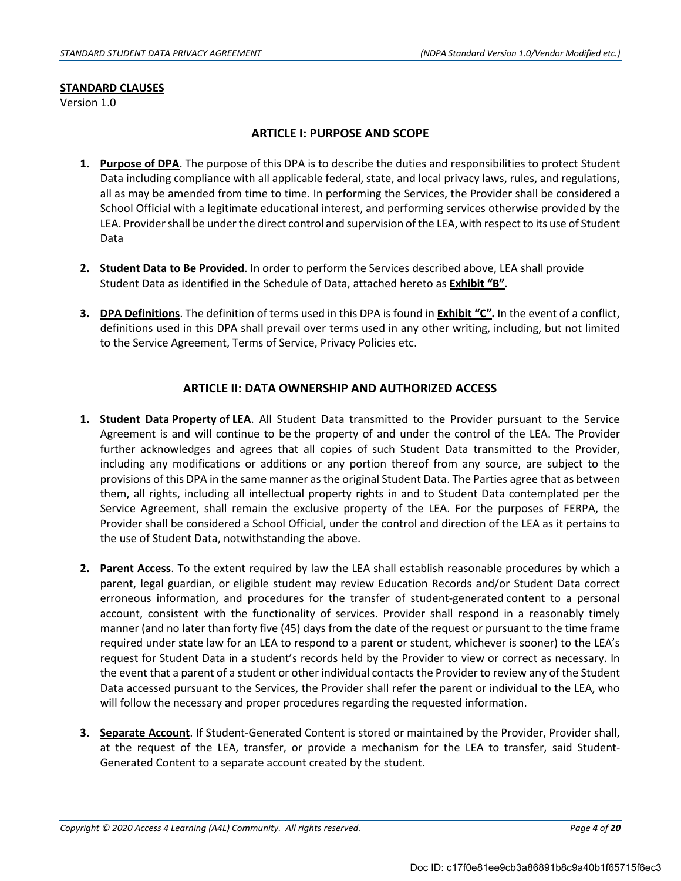#### **STANDARD CLAUSES**

Version 1.0

## **ARTICLE I: PURPOSE AND SCOPE**

- **1. Purpose of DPA**. The purpose of this DPA is to describe the duties and responsibilities to protect Student Data including compliance with all applicable federal, state, and local privacy laws, rules, and regulations, all as may be amended from time to time. In performing the Services, the Provider shall be considered a School Official with a legitimate educational interest, and performing services otherwise provided by the LEA. Provider shall be under the direct control and supervision of the LEA, with respect to its use of Student Data
- **2. Student Data to Be Provided**. In order to perform the Services described above, LEA shall provide Student Data as identified in the Schedule of Data, attached hereto as **Exhibit "B"**.
- **3. DPA Definitions**. The definition of terms used in this DPA is found in **Exhibit "C".** In the event of a conflict, definitions used in this DPA shall prevail over terms used in any other writing, including, but not limited to the Service Agreement, Terms of Service, Privacy Policies etc.

## **ARTICLE II: DATA OWNERSHIP AND AUTHORIZED ACCESS**

- **1. Student Data Property of LEA**. All Student Data transmitted to the Provider pursuant to the Service Agreement is and will continue to be the property of and under the control of the LEA. The Provider further acknowledges and agrees that all copies of such Student Data transmitted to the Provider, including any modifications or additions or any portion thereof from any source, are subject to the provisions of this DPA in the same manner asthe original Student Data. The Parties agree that as between them, all rights, including all intellectual property rights in and to Student Data contemplated per the Service Agreement, shall remain the exclusive property of the LEA. For the purposes of FERPA, the Provider shall be considered a School Official, under the control and direction of the LEA as it pertains to the use of Student Data, notwithstanding the above.
- **2. Parent Access**. To the extent required by law the LEA shall establish reasonable procedures by which a parent, legal guardian, or eligible student may review Education Records and/or Student Data correct erroneous information, and procedures for the transfer of student-generated content to a personal account, consistent with the functionality of services. Provider shall respond in a reasonably timely manner (and no later than forty five (45) days from the date of the request or pursuant to the time frame required under state law for an LEA to respond to a parent or student, whichever is sooner) to the LEA's request for Student Data in a student's records held by the Provider to view or correct as necessary. In the event that a parent of a student or other individual contacts the Provider to review any of the Student Data accessed pursuant to the Services, the Provider shall refer the parent or individual to the LEA, who will follow the necessary and proper procedures regarding the requested information.
- **3. Separate Account**. If Student-Generated Content is stored or maintained by the Provider, Provider shall, at the request of the LEA, transfer, or provide a mechanism for the LEA to transfer, said Student-Generated Content to a separate account created by the student.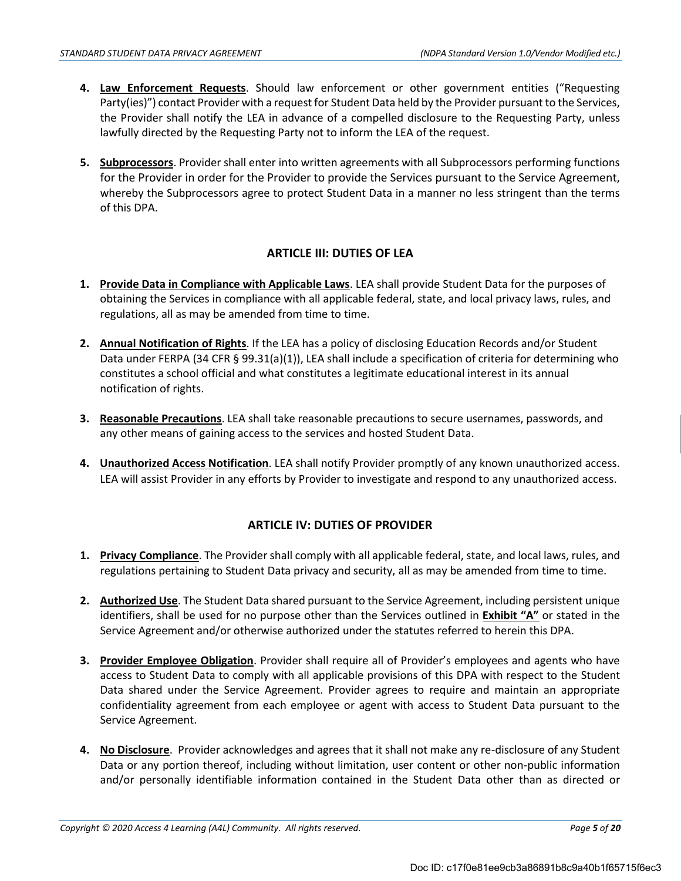- **4. Law Enforcement Requests**. Should law enforcement or other government entities ("Requesting Party(ies)") contact Provider with a request for Student Data held by the Provider pursuant to the Services, the Provider shall notify the LEA in advance of a compelled disclosure to the Requesting Party, unless lawfully directed by the Requesting Party not to inform the LEA of the request.
- **5. Subprocessors**. Provider shall enter into written agreements with all Subprocessors performing functions for the Provider in order for the Provider to provide the Services pursuant to the Service Agreement, whereby the Subprocessors agree to protect Student Data in a manner no less stringent than the terms of this DPA.

## **ARTICLE III: DUTIES OF LEA**

- **1. Provide Data in Compliance with Applicable Laws**. LEA shall provide Student Data for the purposes of obtaining the Services in compliance with all applicable federal, state, and local privacy laws, rules, and regulations, all as may be amended from time to time.
- **2. Annual Notification of Rights**. If the LEA has a policy of disclosing Education Records and/or Student Data under FERPA (34 CFR § 99.31(a)(1)), LEA shall include a specification of criteria for determining who constitutes a school official and what constitutes a legitimate educational interest in its annual notification of rights.
- **3. Reasonable Precautions**. LEA shall take reasonable precautions to secure usernames, passwords, and any other means of gaining access to the services and hosted Student Data.
- **4. Unauthorized Access Notification**. LEA shall notify Provider promptly of any known unauthorized access. LEA will assist Provider in any efforts by Provider to investigate and respond to any unauthorized access.

## **ARTICLE IV: DUTIES OF PROVIDER**

- **1. Privacy Compliance**. The Provider shall comply with all applicable federal, state, and local laws, rules, and regulations pertaining to Student Data privacy and security, all as may be amended from time to time.
- **2. Authorized Use**. The Student Data shared pursuant to the Service Agreement, including persistent unique identifiers, shall be used for no purpose other than the Services outlined in **Exhibit "A"** or stated in the Service Agreement and/or otherwise authorized under the statutes referred to herein this DPA.
- **3. Provider Employee Obligation**. Provider shall require all of Provider's employees and agents who have access to Student Data to comply with all applicable provisions of this DPA with respect to the Student Data shared under the Service Agreement. Provider agrees to require and maintain an appropriate confidentiality agreement from each employee or agent with access to Student Data pursuant to the Service Agreement.
- **4.** No Disclosure. Provider acknowledges and agrees that it shall not make any re-disclosure of any Student Data or any portion thereof, including without limitation, user content or other non-public information and/or personally identifiable information contained in the Student Data other than as directed or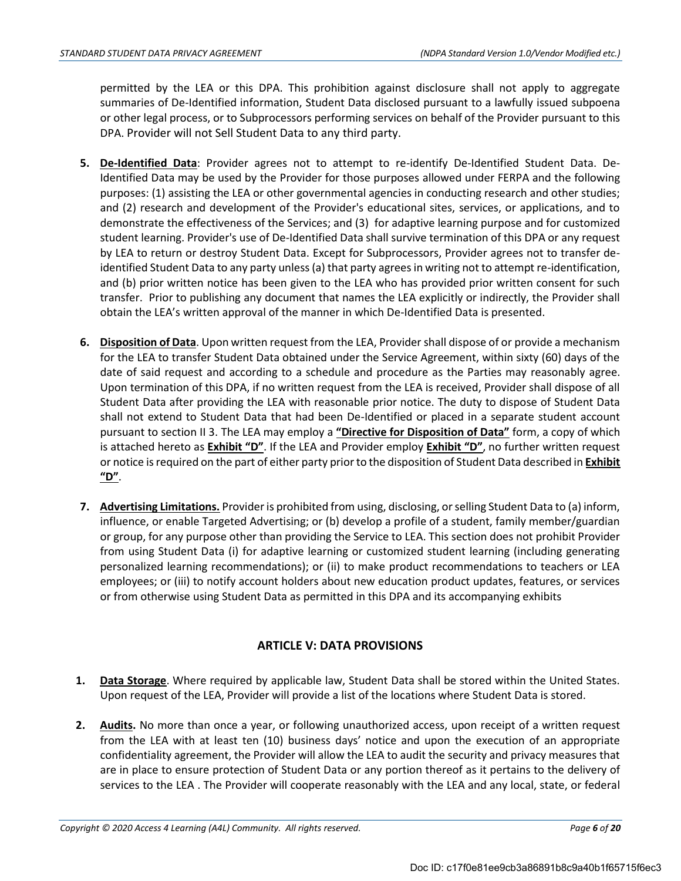permitted by the LEA or this DPA. This prohibition against disclosure shall not apply to aggregate summaries of De-Identified information, Student Data disclosed pursuant to a lawfully issued subpoena or other legal process, or to Subprocessors performing services on behalf of the Provider pursuant to this DPA. Provider will not Sell Student Data to any third party.

- **5. De-Identified Data**: Provider agrees not to attempt to re-identify De-Identified Student Data. De-Identified Data may be used by the Provider for those purposes allowed under FERPA and the following purposes: (1) assisting the LEA or other governmental agencies in conducting research and other studies; and (2) research and development of the Provider's educational sites, services, or applications, and to demonstrate the effectiveness of the Services; and (3) for adaptive learning purpose and for customized student learning. Provider's use of De-Identified Data shall survive termination of this DPA or any request by LEA to return or destroy Student Data. Except for Subprocessors, Provider agrees not to transfer deidentified Student Data to any party unless (a) that party agrees in writing not to attempt re-identification, and (b) prior written notice has been given to the LEA who has provided prior written consent for such transfer. Prior to publishing any document that names the LEA explicitly or indirectly, the Provider shall obtain the LEA's written approval of the manner in which De-Identified Data is presented.
- **6. Disposition of Data**. Upon written request from the LEA, Provider shall dispose of or provide a mechanism for the LEA to transfer Student Data obtained under the Service Agreement, within sixty (60) days of the date of said request and according to a schedule and procedure as the Parties may reasonably agree. Upon termination of this DPA, if no written request from the LEA is received, Provider shall dispose of all Student Data after providing the LEA with reasonable prior notice. The duty to dispose of Student Data shall not extend to Student Data that had been De-Identified or placed in a separate student account pursuant to section II 3. The LEA may employ a **"Directive for Disposition of Data"** form, a copy of which is attached hereto as **Exhibit "D"**. If the LEA and Provider employ **Exhibit "D"**, no further written request or notice isrequired on the part of either party priorto the disposition of Student Data described in **Exhibit "D"**.
- **7. Advertising Limitations.** Provideris prohibited from using, disclosing, orselling Student Data to (a) inform, influence, or enable Targeted Advertising; or (b) develop a profile of a student, family member/guardian or group, for any purpose other than providing the Service to LEA. This section does not prohibit Provider from using Student Data (i) for adaptive learning or customized student learning (including generating personalized learning recommendations); or (ii) to make product recommendations to teachers or LEA employees; or (iii) to notify account holders about new education product updates, features, or services or from otherwise using Student Data as permitted in this DPA and its accompanying exhibits

## **ARTICLE V: DATA PROVISIONS**

- **1. Data Storage**. Where required by applicable law, Student Data shall be stored within the United States. Upon request of the LEA, Provider will provide a list of the locations where Student Data is stored.
- **2. Audits.** No more than once a year, or following unauthorized access, upon receipt of a written request from the LEA with at least ten (10) business days' notice and upon the execution of an appropriate confidentiality agreement, the Provider will allow the LEA to audit the security and privacy measures that are in place to ensure protection of Student Data or any portion thereof as it pertains to the delivery of services to the LEA . The Provider will cooperate reasonably with the LEA and any local, state, or federal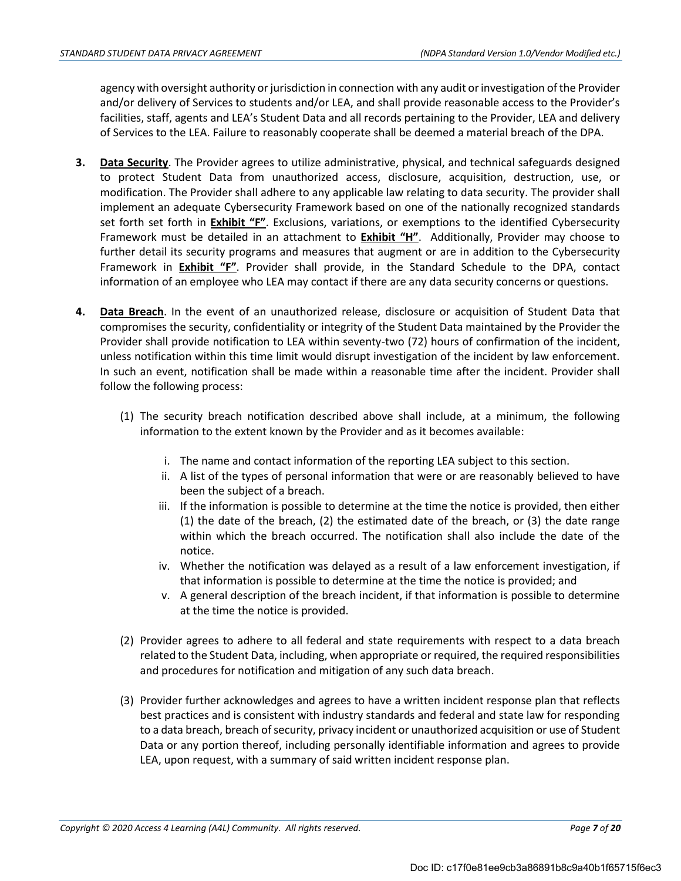agency with oversight authority or jurisdiction in connection with any audit or investigation of the Provider and/or delivery of Services to students and/or LEA, and shall provide reasonable access to the Provider's facilities, staff, agents and LEA's Student Data and all records pertaining to the Provider, LEA and delivery of Services to the LEA. Failure to reasonably cooperate shall be deemed a material breach of the DPA.

- **3. Data Security**. The Provider agrees to utilize administrative, physical, and technical safeguards designed to protect Student Data from unauthorized access, disclosure, acquisition, destruction, use, or modification. The Provider shall adhere to any applicable law relating to data security. The provider shall implement an adequate Cybersecurity Framework based on one of the nationally recognized standards set forth set forth in **Exhibit "F"**. Exclusions, variations, or exemptions to the identified Cybersecurity Framework must be detailed in an attachment to **Exhibit "H"**. Additionally, Provider may choose to further detail its security programs and measures that augment or are in addition to the Cybersecurity Framework in **Exhibit "F"**. Provider shall provide, in the Standard Schedule to the DPA, contact information of an employee who LEA may contact if there are any data security concerns or questions.
- **4. Data Breach**. In the event of an unauthorized release, disclosure or acquisition of Student Data that compromises the security, confidentiality or integrity of the Student Data maintained by the Provider the Provider shall provide notification to LEA within seventy-two (72) hours of confirmation of the incident, unless notification within this time limit would disrupt investigation of the incident by law enforcement. In such an event, notification shall be made within a reasonable time after the incident. Provider shall follow the following process:
	- (1) The security breach notification described above shall include, at a minimum, the following information to the extent known by the Provider and as it becomes available:
		- i. The name and contact information of the reporting LEA subject to this section.
		- ii. A list of the types of personal information that were or are reasonably believed to have been the subject of a breach.
		- iii. If the information is possible to determine at the time the notice is provided, then either (1) the date of the breach, (2) the estimated date of the breach, or (3) the date range within which the breach occurred. The notification shall also include the date of the notice.
		- iv. Whether the notification was delayed as a result of a law enforcement investigation, if that information is possible to determine at the time the notice is provided; and
		- v. A general description of the breach incident, if that information is possible to determine at the time the notice is provided.
	- (2) Provider agrees to adhere to all federal and state requirements with respect to a data breach related to the Student Data, including, when appropriate or required, the required responsibilities and procedures for notification and mitigation of any such data breach.
	- (3) Provider further acknowledges and agrees to have a written incident response plan that reflects best practices and is consistent with industry standards and federal and state law for responding to a data breach, breach of security, privacy incident or unauthorized acquisition or use of Student Data or any portion thereof, including personally identifiable information and agrees to provide LEA, upon request, with a summary of said written incident response plan.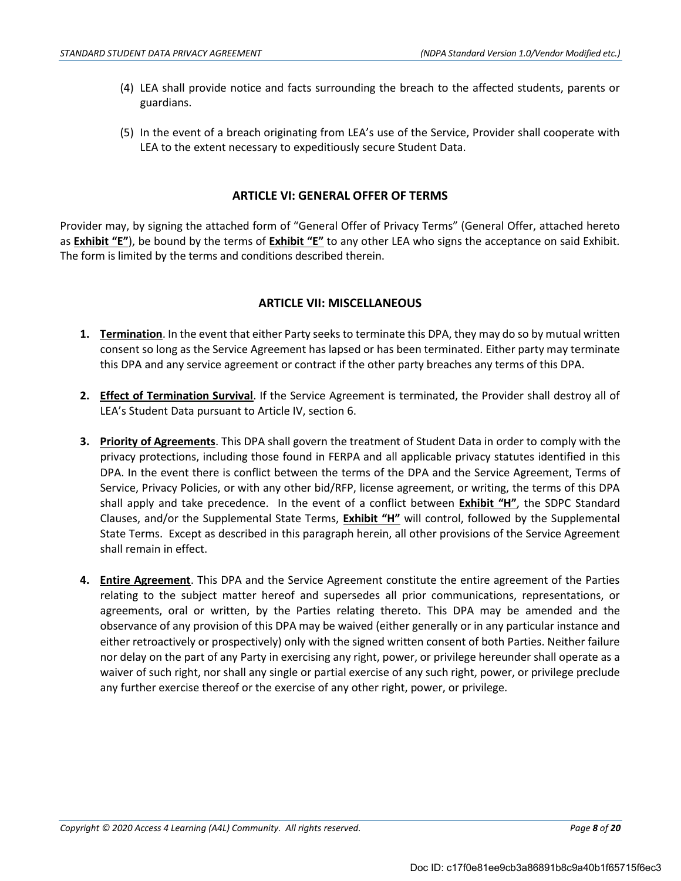- (4) LEA shall provide notice and facts surrounding the breach to the affected students, parents or guardians.
- (5) In the event of a breach originating from LEA's use of the Service, Provider shall cooperate with LEA to the extent necessary to expeditiously secure Student Data.

## **ARTICLE VI: GENERAL OFFER OF TERMS**

Provider may, by signing the attached form of "General Offer of Privacy Terms" (General Offer, attached hereto as **Exhibit "E"**), be bound by the terms of **Exhibit "E"** to any other LEA who signs the acceptance on said Exhibit. The form is limited by the terms and conditions described therein.

## **ARTICLE VII: MISCELLANEOUS**

- **1. Termination**. In the event that either Party seeks to terminate this DPA, they may do so by mutual written consent so long as the Service Agreement has lapsed or has been terminated. Either party may terminate this DPA and any service agreement or contract if the other party breaches any terms of this DPA.
- **2. Effect of Termination Survival**. If the Service Agreement is terminated, the Provider shall destroy all of LEA's Student Data pursuant to Article IV, section 6.
- **3. Priority of Agreements**. This DPA shall govern the treatment of Student Data in order to comply with the privacy protections, including those found in FERPA and all applicable privacy statutes identified in this DPA. In the event there is conflict between the terms of the DPA and the Service Agreement, Terms of Service, Privacy Policies, or with any other bid/RFP, license agreement, or writing, the terms of this DPA shall apply and take precedence. In the event of a conflict between **Exhibit "H"**, the SDPC Standard Clauses, and/or the Supplemental State Terms, **Exhibit "H"** will control, followed by the Supplemental State Terms. Except as described in this paragraph herein, all other provisions of the Service Agreement shall remain in effect.
- **4. Entire Agreement**. This DPA and the Service Agreement constitute the entire agreement of the Parties relating to the subject matter hereof and supersedes all prior communications, representations, or agreements, oral or written, by the Parties relating thereto. This DPA may be amended and the observance of any provision of this DPA may be waived (either generally or in any particular instance and either retroactively or prospectively) only with the signed written consent of both Parties. Neither failure nor delay on the part of any Party in exercising any right, power, or privilege hereunder shall operate as a waiver of such right, nor shall any single or partial exercise of any such right, power, or privilege preclude any further exercise thereof or the exercise of any other right, power, or privilege.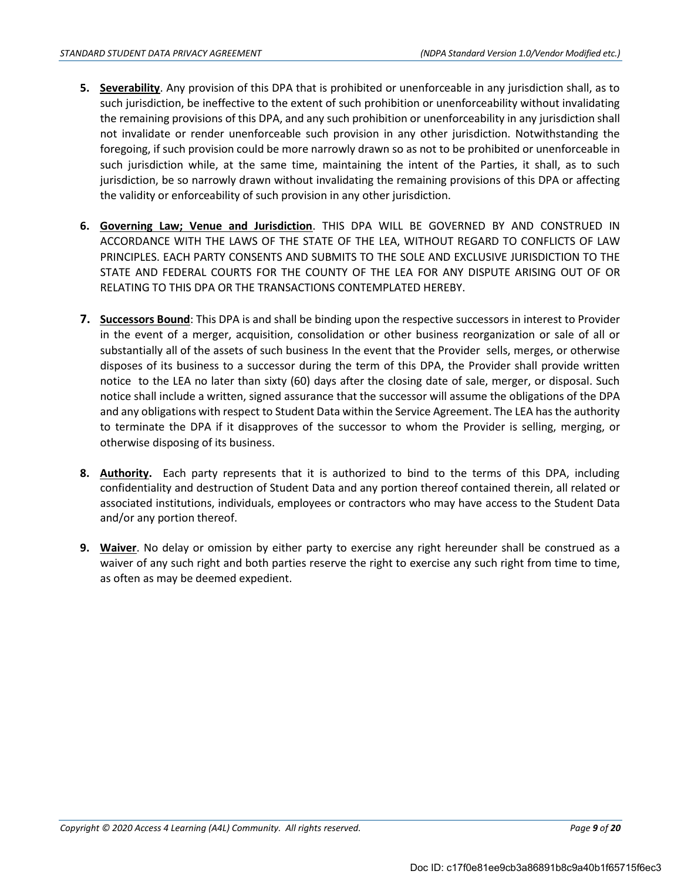- **5. Severability**. Any provision of this DPA that is prohibited or unenforceable in any jurisdiction shall, as to such jurisdiction, be ineffective to the extent of such prohibition or unenforceability without invalidating the remaining provisions of this DPA, and any such prohibition or unenforceability in any jurisdiction shall not invalidate or render unenforceable such provision in any other jurisdiction. Notwithstanding the foregoing, if such provision could be more narrowly drawn so as not to be prohibited or unenforceable in such jurisdiction while, at the same time, maintaining the intent of the Parties, it shall, as to such jurisdiction, be so narrowly drawn without invalidating the remaining provisions of this DPA or affecting the validity or enforceability of such provision in any other jurisdiction.
- **6. Governing Law; Venue and Jurisdiction**. THIS DPA WILL BE GOVERNED BY AND CONSTRUED IN ACCORDANCE WITH THE LAWS OF THE STATE OF THE LEA, WITHOUT REGARD TO CONFLICTS OF LAW PRINCIPLES. EACH PARTY CONSENTS AND SUBMITS TO THE SOLE AND EXCLUSIVE JURISDICTION TO THE STATE AND FEDERAL COURTS FOR THE COUNTY OF THE LEA FOR ANY DISPUTE ARISING OUT OF OR RELATING TO THIS DPA OR THE TRANSACTIONS CONTEMPLATED HEREBY.
- **7. Successors Bound**: This DPA is and shall be binding upon the respective successors in interest to Provider in the event of a merger, acquisition, consolidation or other business reorganization or sale of all or substantially all of the assets of such business In the event that the Provider sells, merges, or otherwise disposes of its business to a successor during the term of this DPA, the Provider shall provide written notice to the LEA no later than sixty (60) days after the closing date of sale, merger, or disposal. Such notice shall include a written, signed assurance that the successor will assume the obligations of the DPA and any obligations with respect to Student Data within the Service Agreement. The LEA has the authority to terminate the DPA if it disapproves of the successor to whom the Provider is selling, merging, or otherwise disposing of its business.
- **8. Authority.** Each party represents that it is authorized to bind to the terms of this DPA, including confidentiality and destruction of Student Data and any portion thereof contained therein, all related or associated institutions, individuals, employees or contractors who may have access to the Student Data and/or any portion thereof.
- **9. Waiver**. No delay or omission by either party to exercise any right hereunder shall be construed as a waiver of any such right and both parties reserve the right to exercise any such right from time to time, as often as may be deemed expedient.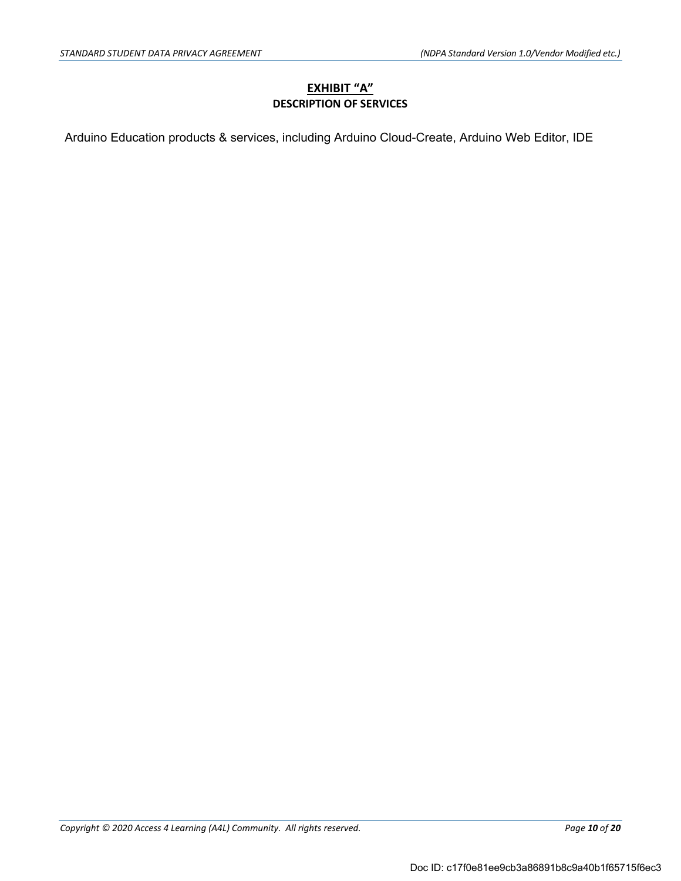## **EXHIBIT "A" DESCRIPTION OF SERVICES**

Arduino Education products & services, including Arduino Cloud-Create, Arduino Web Editor, IDE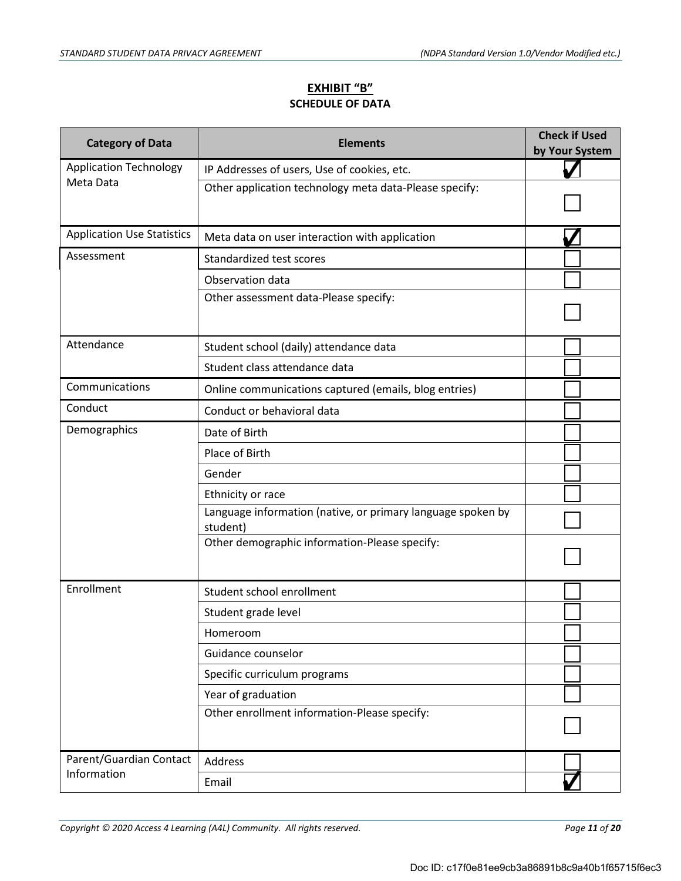## **EXHIBIT "B" SCHEDULE OF DATA**

| <b>Category of Data</b>           | <b>Elements</b>                                                         | <b>Check if Used</b><br>by Your System |
|-----------------------------------|-------------------------------------------------------------------------|----------------------------------------|
| <b>Application Technology</b>     | IP Addresses of users, Use of cookies, etc.                             |                                        |
| Meta Data                         | Other application technology meta data-Please specify:                  |                                        |
| <b>Application Use Statistics</b> | Meta data on user interaction with application                          |                                        |
| Assessment                        | Standardized test scores                                                |                                        |
|                                   | Observation data                                                        |                                        |
|                                   | Other assessment data-Please specify:                                   |                                        |
| Attendance                        | Student school (daily) attendance data                                  |                                        |
|                                   | Student class attendance data                                           |                                        |
| Communications                    | Online communications captured (emails, blog entries)                   |                                        |
| Conduct                           | Conduct or behavioral data                                              |                                        |
| Demographics                      | Date of Birth                                                           |                                        |
|                                   | Place of Birth                                                          |                                        |
|                                   | Gender                                                                  |                                        |
|                                   | Ethnicity or race                                                       |                                        |
|                                   | Language information (native, or primary language spoken by<br>student) |                                        |
|                                   | Other demographic information-Please specify:                           |                                        |
| Enrollment                        | Student school enrollment                                               |                                        |
|                                   | Student grade level                                                     |                                        |
|                                   | Homeroom                                                                |                                        |
|                                   | Guidance counselor                                                      |                                        |
|                                   | Specific curriculum programs                                            |                                        |
|                                   | Year of graduation                                                      |                                        |
|                                   | Other enrollment information-Please specify:                            |                                        |
| Parent/Guardian Contact           | Address                                                                 |                                        |
| Information                       | Email                                                                   |                                        |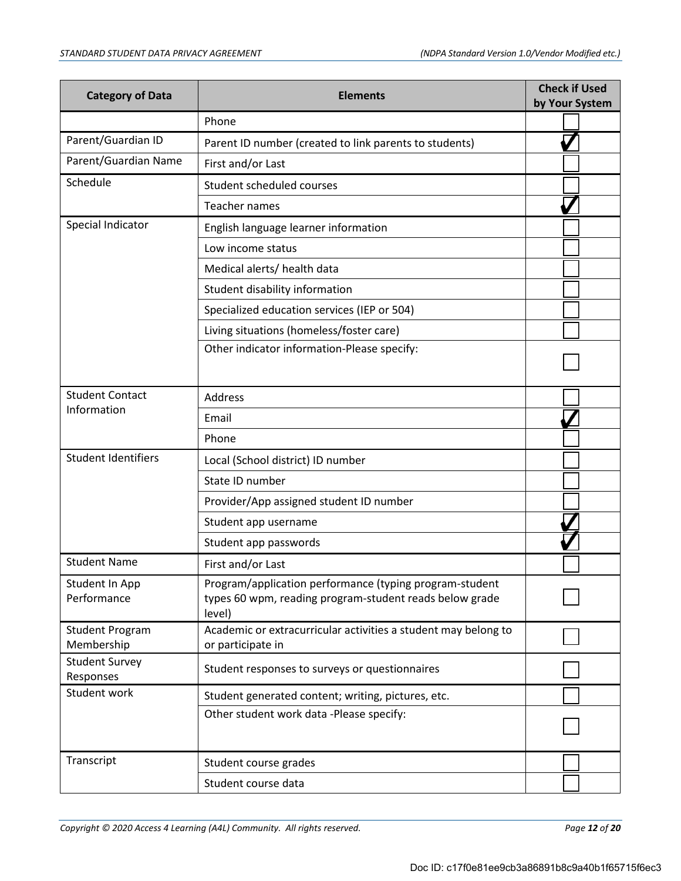| <b>Category of Data</b>              | <b>Elements</b>                                                                                                              | <b>Check if Used</b><br>by Your System |
|--------------------------------------|------------------------------------------------------------------------------------------------------------------------------|----------------------------------------|
|                                      | Phone                                                                                                                        |                                        |
| Parent/Guardian ID                   | Parent ID number (created to link parents to students)                                                                       |                                        |
| Parent/Guardian Name                 | First and/or Last                                                                                                            |                                        |
| Schedule                             | Student scheduled courses                                                                                                    |                                        |
|                                      | Teacher names                                                                                                                |                                        |
| Special Indicator                    | English language learner information                                                                                         |                                        |
|                                      | Low income status                                                                                                            |                                        |
|                                      | Medical alerts/ health data                                                                                                  |                                        |
|                                      | Student disability information                                                                                               |                                        |
|                                      | Specialized education services (IEP or 504)                                                                                  |                                        |
|                                      | Living situations (homeless/foster care)                                                                                     |                                        |
|                                      | Other indicator information-Please specify:                                                                                  |                                        |
| <b>Student Contact</b>               | <b>Address</b>                                                                                                               |                                        |
| Information                          | Email                                                                                                                        |                                        |
|                                      | Phone                                                                                                                        |                                        |
| <b>Student Identifiers</b>           | Local (School district) ID number                                                                                            |                                        |
|                                      | State ID number                                                                                                              |                                        |
|                                      | Provider/App assigned student ID number                                                                                      |                                        |
|                                      | Student app username                                                                                                         |                                        |
|                                      | Student app passwords                                                                                                        |                                        |
| <b>Student Name</b>                  | First and/or Last                                                                                                            |                                        |
| Student In App<br>Performance        | Program/application performance (typing program-student<br>types 60 wpm, reading program-student reads below grade<br>level) |                                        |
| <b>Student Program</b><br>Membership | Academic or extracurricular activities a student may belong to<br>or participate in                                          |                                        |
| <b>Student Survey</b><br>Responses   | Student responses to surveys or questionnaires                                                                               |                                        |
| Student work                         | Student generated content; writing, pictures, etc.                                                                           |                                        |
|                                      | Other student work data -Please specify:                                                                                     |                                        |
| Transcript                           | Student course grades                                                                                                        |                                        |
|                                      | Student course data                                                                                                          |                                        |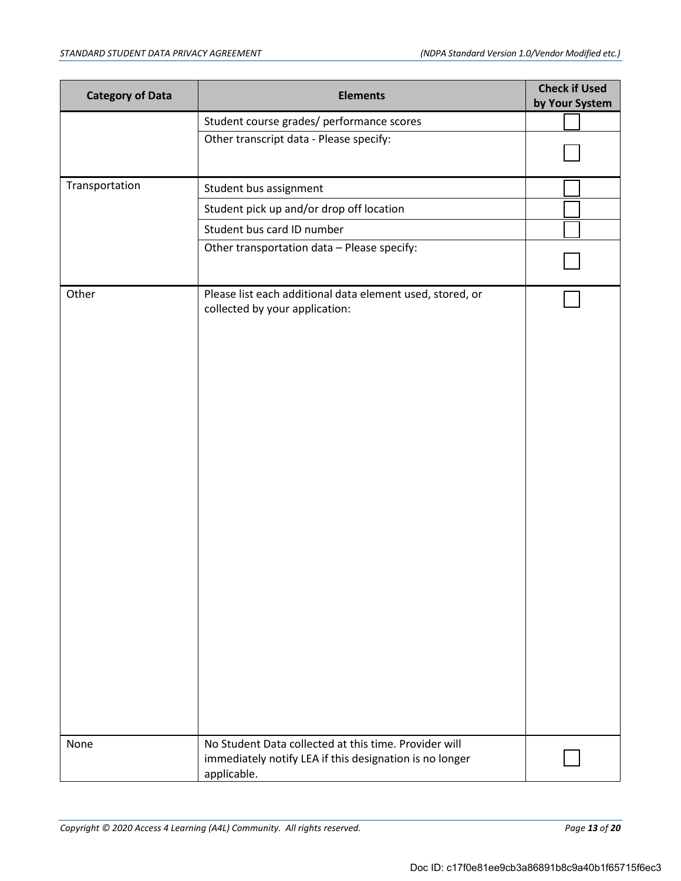| <b>Category of Data</b> | <b>Elements</b>                                                                                                                 | <b>Check if Used</b><br>by Your System |
|-------------------------|---------------------------------------------------------------------------------------------------------------------------------|----------------------------------------|
|                         | Student course grades/ performance scores                                                                                       |                                        |
|                         | Other transcript data - Please specify:                                                                                         |                                        |
|                         |                                                                                                                                 |                                        |
| Transportation          | Student bus assignment                                                                                                          |                                        |
|                         | Student pick up and/or drop off location                                                                                        |                                        |
|                         | Student bus card ID number                                                                                                      |                                        |
|                         | Other transportation data - Please specify:                                                                                     |                                        |
| Other                   | Please list each additional data element used, stored, or<br>collected by your application:                                     |                                        |
| None                    | No Student Data collected at this time. Provider will<br>immediately notify LEA if this designation is no longer<br>applicable. |                                        |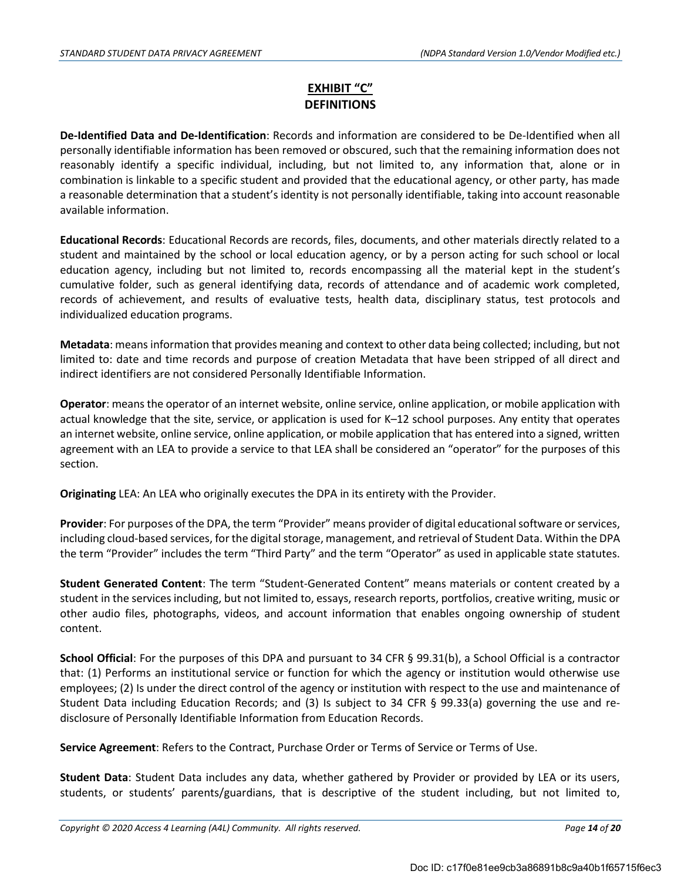## **EXHIBIT "C" DEFINITIONS**

**De-Identified Data and De-Identification**: Records and information are considered to be De-Identified when all personally identifiable information has been removed or obscured, such that the remaining information does not reasonably identify a specific individual, including, but not limited to, any information that, alone or in combination is linkable to a specific student and provided that the educational agency, or other party, has made a reasonable determination that a student's identity is not personally identifiable, taking into account reasonable available information.

**Educational Records**: Educational Records are records, files, documents, and other materials directly related to a student and maintained by the school or local education agency, or by a person acting for such school or local education agency, including but not limited to, records encompassing all the material kept in the student's cumulative folder, such as general identifying data, records of attendance and of academic work completed, records of achievement, and results of evaluative tests, health data, disciplinary status, test protocols and individualized education programs.

**Metadata**: means information that provides meaning and context to other data being collected; including, but not limited to: date and time records and purpose of creation Metadata that have been stripped of all direct and indirect identifiers are not considered Personally Identifiable Information.

**Operator**: means the operator of an internet website, online service, online application, or mobile application with actual knowledge that the site, service, or application is used for K–12 school purposes. Any entity that operates an internet website, online service, online application, or mobile application that has entered into a signed, written agreement with an LEA to provide a service to that LEA shall be considered an "operator" for the purposes of this section.

**Originating** LEA: An LEA who originally executes the DPA in its entirety with the Provider.

**Provider**: For purposes of the DPA, the term "Provider" means provider of digital educational software or services, including cloud-based services, for the digital storage, management, and retrieval of Student Data. Within the DPA the term "Provider" includes the term "Third Party" and the term "Operator" as used in applicable state statutes.

**Student Generated Content**: The term "Student-Generated Content" means materials or content created by a student in the services including, but not limited to, essays, research reports, portfolios, creative writing, music or other audio files, photographs, videos, and account information that enables ongoing ownership of student content.

**School Official**: For the purposes of this DPA and pursuant to 34 CFR § 99.31(b), a School Official is a contractor that: (1) Performs an institutional service or function for which the agency or institution would otherwise use employees; (2) Is under the direct control of the agency or institution with respect to the use and maintenance of Student Data including Education Records; and (3) Is subject to 34 CFR § 99.33(a) governing the use and redisclosure of Personally Identifiable Information from Education Records.

**Service Agreement**: Refers to the Contract, Purchase Order or Terms of Service or Terms of Use.

**Student Data**: Student Data includes any data, whether gathered by Provider or provided by LEA or its users, students, or students' parents/guardians, that is descriptive of the student including, but not limited to,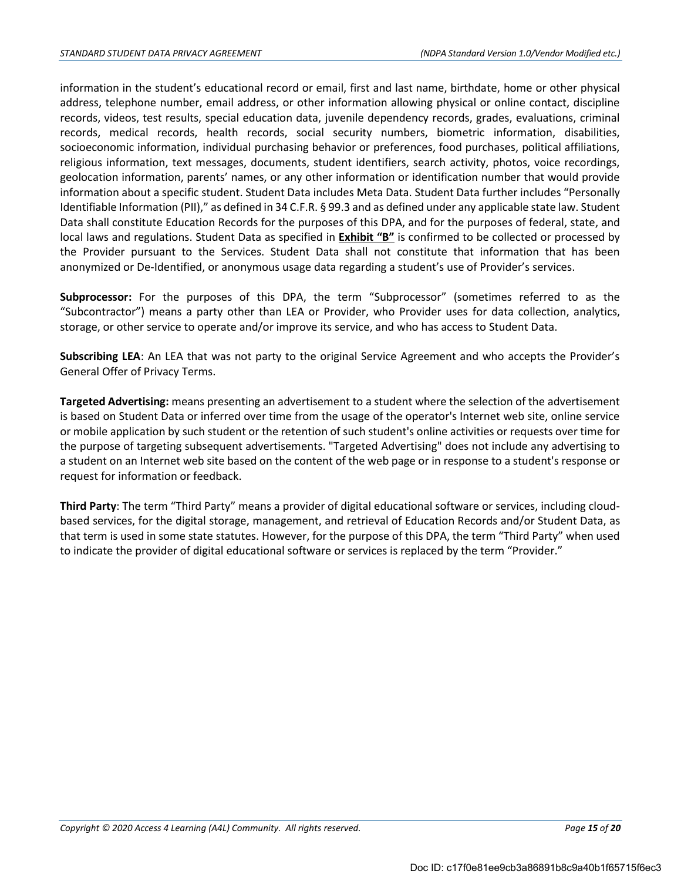information in the student's educational record or email, first and last name, birthdate, home or other physical address, telephone number, email address, or other information allowing physical or online contact, discipline records, videos, test results, special education data, juvenile dependency records, grades, evaluations, criminal records, medical records, health records, social security numbers, biometric information, disabilities, socioeconomic information, individual purchasing behavior or preferences, food purchases, political affiliations, religious information, text messages, documents, student identifiers, search activity, photos, voice recordings, geolocation information, parents' names, or any other information or identification number that would provide information about a specific student. Student Data includes Meta Data. Student Data further includes "Personally Identifiable Information (PII)," as defined in 34 C.F.R. § 99.3 and as defined under any applicable state law. Student Data shall constitute Education Records for the purposes of this DPA, and for the purposes of federal, state, and local laws and regulations. Student Data as specified in **Exhibit "B"** is confirmed to be collected or processed by the Provider pursuant to the Services. Student Data shall not constitute that information that has been anonymized or De-Identified, or anonymous usage data regarding a student's use of Provider's services.

**Subprocessor:** For the purposes of this DPA, the term "Subprocessor" (sometimes referred to as the "Subcontractor") means a party other than LEA or Provider, who Provider uses for data collection, analytics, storage, or other service to operate and/or improve its service, and who has access to Student Data.

**Subscribing LEA**: An LEA that was not party to the original Service Agreement and who accepts the Provider's General Offer of Privacy Terms.

**Targeted Advertising:** means presenting an advertisement to a student where the selection of the advertisement is based on Student Data or inferred over time from the usage of the operator's Internet web site, online service or mobile application by such student or the retention of such student's online activities or requests over time for the purpose of targeting subsequent advertisements. "Targeted Advertising" does not include any advertising to a student on an Internet web site based on the content of the web page or in response to a student's response or request for information or feedback.

**Third Party**: The term "Third Party" means a provider of digital educational software or services, including cloudbased services, for the digital storage, management, and retrieval of Education Records and/or Student Data, as that term is used in some state statutes. However, for the purpose of this DPA, the term "Third Party" when used to indicate the provider of digital educational software or services is replaced by the term "Provider."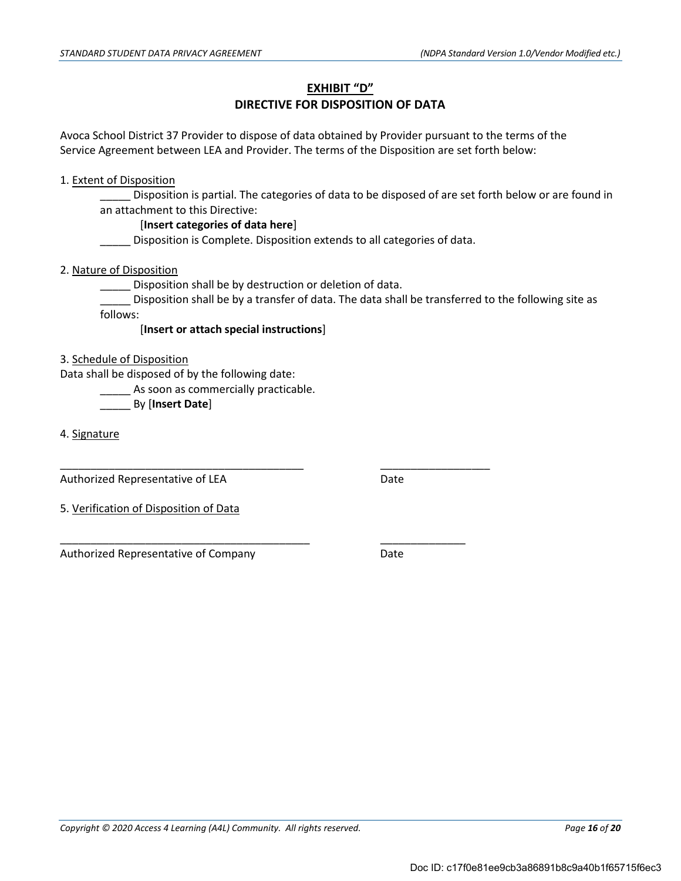#### **EXHIBIT "D"**

## **DIRECTIVE FOR DISPOSITION OF DATA**

Avoca School District 37 Provider to dispose of data obtained by Provider pursuant to the terms of the Service Agreement between LEA and Provider. The terms of the Disposition are set forth below:

#### 1. Extent of Disposition

Disposition is partial. The categories of data to be disposed of are set forth below or are found in an attachment to this Directive:

#### [**Insert categories of data here**]

Disposition is Complete. Disposition extends to all categories of data.

2. Nature of Disposition

**\_\_\_\_\_** Disposition shall be by destruction or deletion of data.

\_\_\_\_\_\_\_\_\_\_\_\_\_\_\_\_\_\_\_\_\_\_\_\_\_\_\_\_\_\_\_\_\_\_\_\_\_\_\_\_ \_\_\_\_\_\_\_\_\_\_\_\_\_\_\_\_\_\_

\_\_\_\_\_\_\_\_\_\_\_\_\_\_\_\_\_\_\_\_\_\_\_\_\_\_\_\_\_\_\_\_\_\_\_\_\_\_\_\_\_ \_\_\_\_\_\_\_\_\_\_\_\_\_\_

\_\_\_\_\_ Disposition shall be by a transfer of data. The data shall be transferred to the following site as follows:

[**Insert or attach special instructions**]

#### 3. Schedule of Disposition

Data shall be disposed of by the following date:

As soon as commercially practicable.

\_\_\_\_\_ By [**Insert Date**]

4. Signature

Authorized Representative of LEA Date

5. Verification of Disposition of Data

Authorized Representative of Company **Branch** Pate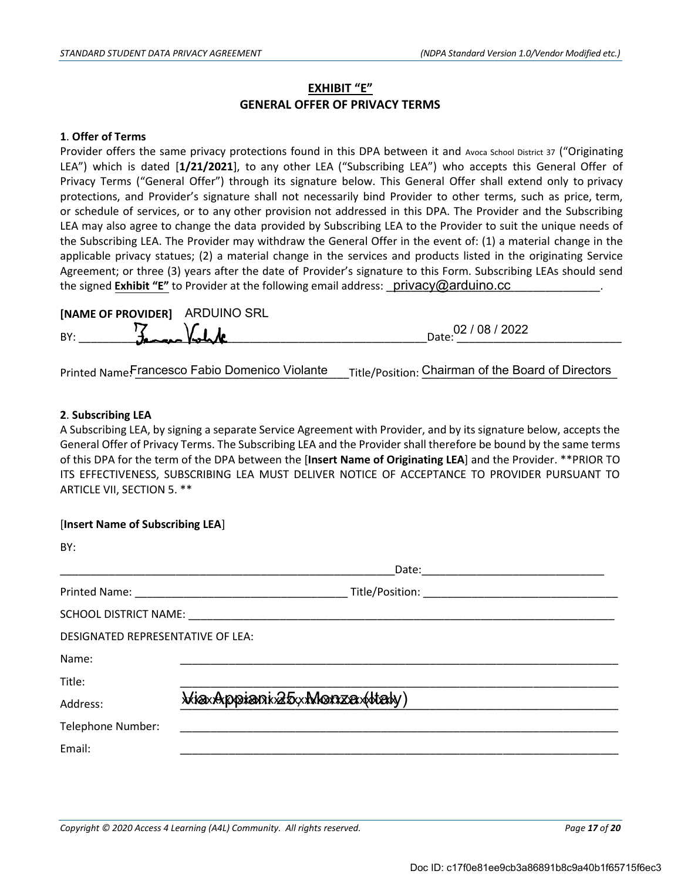## **EXHIBIT "E" GENERAL OFFER OF PRIVACY TERMS**

#### **1**. **Offer of Terms**

Provider offers the same privacy protections found in this DPA between it and Avoca School District 37 ("Originating LEA") which is dated [**1/21/2021**], to any other LEA ("Subscribing LEA") who accepts this General Offer of Privacy Terms ("General Offer") through its signature below. This General Offer shall extend only to privacy protections, and Provider's signature shall not necessarily bind Provider to other terms, such as price, term, or schedule of services, or to any other provision not addressed in this DPA. The Provider and the Subscribing LEA may also agree to change the data provided by Subscribing LEA to the Provider to suit the unique needs of the Subscribing LEA. The Provider may withdraw the General Offer in the event of: (1) a material change in the applicable privacy statues; (2) a material change in the services and products listed in the originating Service Agreement; or three (3) years after the date of Provider's signature to this Form. Subscribing LEAs should send the signed **Exhibit "E"** to Provider at the following email address: \_\_Drivacy@arduino.cc \_\_\_\_\_\_\_\_\_\_\_\_\_\_\_\_\_.

|     | [NAME OF PROVIDER] ARDUINO SRL |                         |
|-----|--------------------------------|-------------------------|
| BY: | James Volk                     | 02 / 08 / 2022<br>Date: |
|     |                                |                         |

Printed Name: Francesco Fabio Domenico Violante \_\_\_ Title/Position: Chairman of the Board of Directors

#### **2**. **Subscribing LEA**

[**Insert Name of Subscribing LEA**]

A Subscribing LEA, by signing a separate Service Agreement with Provider, and by its signature below, accepts the General Offer of Privacy Terms. The Subscribing LEA and the Provider shall therefore be bound by the same terms of this DPA for the term of the DPA between the [**Insert Name of Originating LEA**] and the Provider. \*\*PRIOR TO ITS EFFECTIVENESS, SUBSCRIBING LEA MUST DELIVER NOTICE OF ACCEPTANCE TO PROVIDER PURSUANT TO ARTICLE VII, SECTION 5. \*\*

| BY:                                      |                                          |  |
|------------------------------------------|------------------------------------------|--|
|                                          |                                          |  |
|                                          |                                          |  |
|                                          |                                          |  |
| <b>DESIGNATED REPRESENTATIVE OF LEA:</b> |                                          |  |
| Name:                                    |                                          |  |
| Title:                                   |                                          |  |
| Address:                                 | <i><b>MiaxAppiani25xMonzaxMaly</b></i> ) |  |
| Telephone Number:                        |                                          |  |
| Email:                                   |                                          |  |
|                                          |                                          |  |

*Copyright © 2020 Access 4 Learning (A4L) Community. All rights reserved. Page 17 of 20*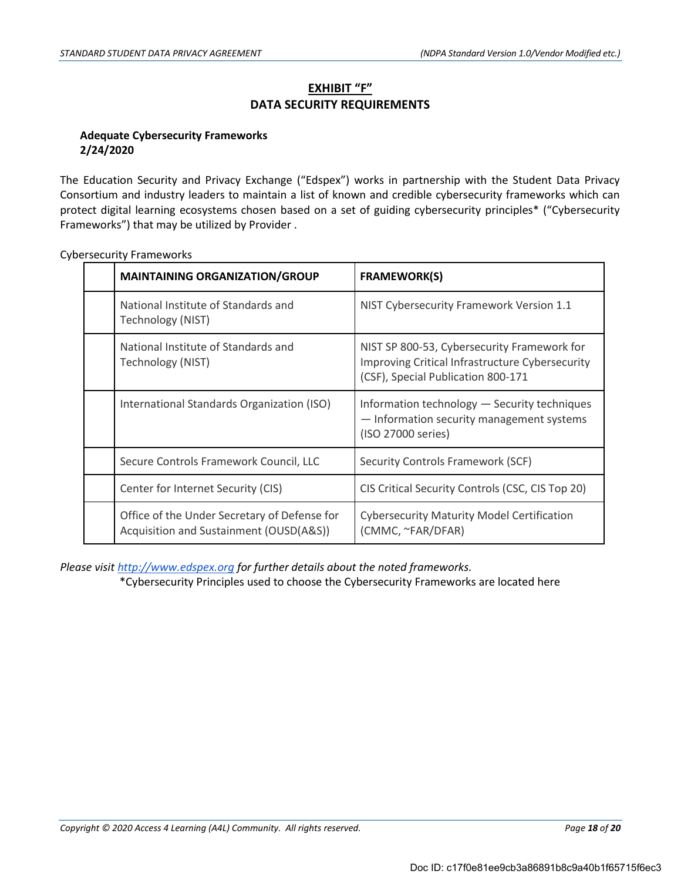## **EXHIBIT "F" DATA SECURITY REQUIREMENTS**

## **Adequate Cybersecurity Frameworks 2/24/2020**

The Education Security and Privacy Exchange ("Edspex") works in partnership with the Student Data Privacy Consortium and industry leaders to maintain a list of known and credible cybersecurity frameworks which can protect digital learning ecosystems chosen based on a set of guiding cybersecurity principles\* ("Cybersecurity Frameworks") that may be utilized by Provider .

| <b>MAINTAINING ORGANIZATION/GROUP</b>                                                   | <b>FRAMEWORK(S)</b>                                                                                                                  |
|-----------------------------------------------------------------------------------------|--------------------------------------------------------------------------------------------------------------------------------------|
| National Institute of Standards and<br>Technology (NIST)                                | NIST Cybersecurity Framework Version 1.1                                                                                             |
| National Institute of Standards and<br>Technology (NIST)                                | NIST SP 800-53, Cybersecurity Framework for<br>Improving Critical Infrastructure Cybersecurity<br>(CSF), Special Publication 800-171 |
| International Standards Organization (ISO)                                              | Information technology - Security techniques<br>- Information security management systems<br>(ISO 27000 series)                      |
| Secure Controls Framework Council, LLC                                                  | Security Controls Framework (SCF)                                                                                                    |
| Center for Internet Security (CIS)                                                      | CIS Critical Security Controls (CSC, CIS Top 20)                                                                                     |
| Office of the Under Secretary of Defense for<br>Acquisition and Sustainment (OUSD(A&S)) | <b>Cybersecurity Maturity Model Certification</b><br>(CMMC, ~FAR/DFAR)                                                               |

Cybersecurity Frameworks

*Please visit http://www.edspex.org for further details about the noted frameworks.*

\*Cybersecurity Principles used to choose the Cybersecurity Frameworks are located here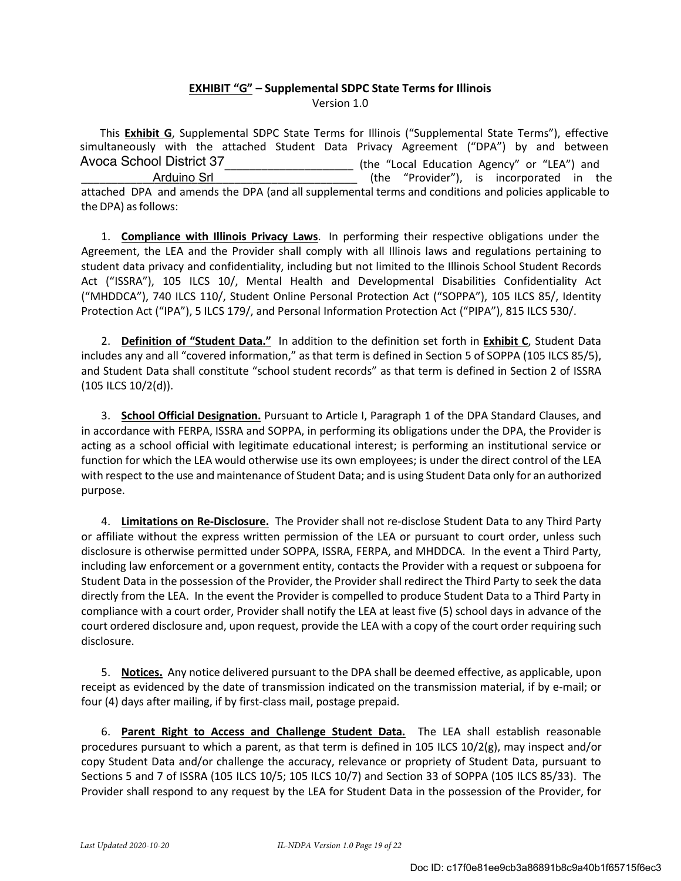# **EXHIBIT "G" – Supplemental SDPC State Terms for Illinois**

Version 1.0

This **Exhibit G**, Supplemental SDPC State Terms for Illinois ("Supplemental State Terms"), effective simultaneously with the attached Student Data Privacy Agreement ("DPA") by and between Avoca School District 37\_\_\_\_\_\_\_\_\_\_\_\_\_\_\_\_\_\_\_\_\_\_\_\_\_\_ (the "Local Education Agency" or "LEA") and \_\_\_\_\_\_\_\_\_\_\_\_\_\_\_\_\_\_\_\_\_\_\_\_\_\_\_\_\_\_\_\_\_\_\_\_\_\_\_\_\_\_\_\_\_ (the "Provider"), is incorporated in the attached DPA and amends the DPA (and all supplemental terms and conditions and policies applicable to the DPA) as follows: Arduino Srl

1. **Compliance with Illinois Privacy Laws**. In performing their respective obligations under the Agreement, the LEA and the Provider shall comply with all Illinois laws and regulations pertaining to student data privacy and confidentiality, including but not limited to the Illinois School Student Records Act ("ISSRA"), 105 ILCS 10/, Mental Health and Developmental Disabilities Confidentiality Act ("MHDDCA"), 740 ILCS 110/, Student Online Personal Protection Act ("SOPPA"), 105 ILCS 85/, Identity Protection Act ("IPA"), 5 ILCS 179/, and Personal Information Protection Act ("PIPA"), 815 ILCS 530/.

2. **Definition of "Student Data."** In addition to the definition set forth in **Exhibit C**, Student Data includes any and all "covered information," as that term is defined in Section 5 of SOPPA (105 ILCS 85/5), and Student Data shall constitute "school student records" as that term is defined in Section 2 of ISSRA (105 ILCS 10/2(d)).

3. **School Official Designation.** Pursuant to Article I, Paragraph 1 of the DPA Standard Clauses, and in accordance with FERPA, ISSRA and SOPPA, in performing its obligations under the DPA, the Provider is acting as a school official with legitimate educational interest; is performing an institutional service or function for which the LEA would otherwise use its own employees; is under the direct control of the LEA with respect to the use and maintenance of Student Data; and is using Student Data only for an authorized purpose.

4. **Limitations on Re-Disclosure.** The Provider shall not re-disclose Student Data to any Third Party or affiliate without the express written permission of the LEA or pursuant to court order, unless such disclosure is otherwise permitted under SOPPA, ISSRA, FERPA, and MHDDCA. In the event a Third Party, including law enforcement or a government entity, contacts the Provider with a request or subpoena for Student Data in the possession of the Provider, the Provider shall redirect the Third Party to seek the data directly from the LEA. In the event the Provider is compelled to produce Student Data to a Third Party in compliance with a court order, Provider shall notify the LEA at least five (5) school days in advance of the court ordered disclosure and, upon request, provide the LEA with a copy of the court order requiring such disclosure.

5. **Notices.** Any notice delivered pursuant to the DPA shall be deemed effective, as applicable, upon receipt as evidenced by the date of transmission indicated on the transmission material, if by e-mail; or four (4) days after mailing, if by first-class mail, postage prepaid.

6. **Parent Right to Access and Challenge Student Data.** The LEA shall establish reasonable procedures pursuant to which a parent, as that term is defined in 105 ILCS 10/2(g), may inspect and/or copy Student Data and/or challenge the accuracy, relevance or propriety of Student Data, pursuant to Sections 5 and 7 of ISSRA (105 ILCS 10/5; 105 ILCS 10/7) and Section 33 of SOPPA (105 ILCS 85/33). The Provider shall respond to any request by the LEA for Student Data in the possession of the Provider, for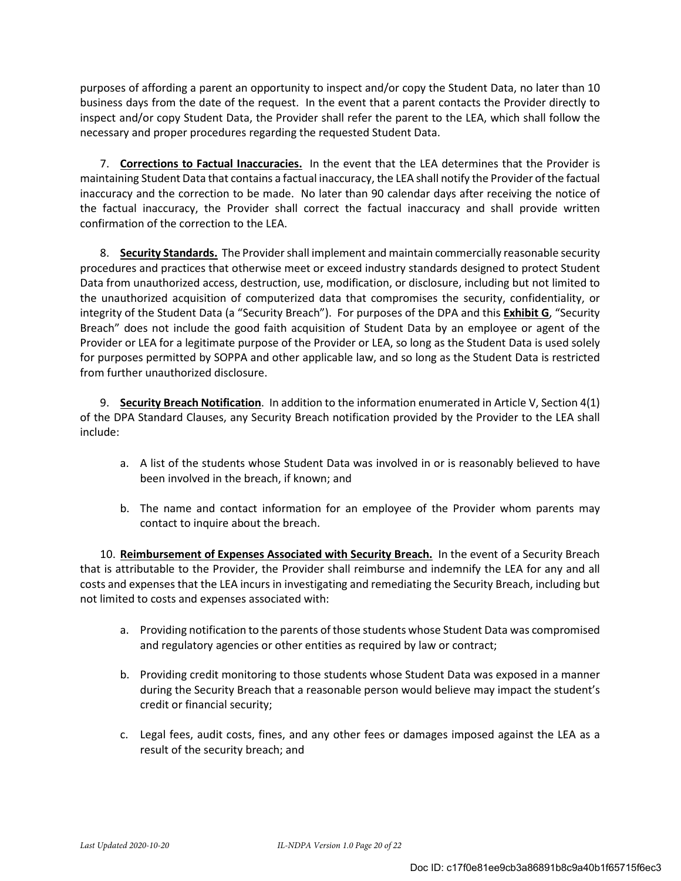purposes of affording a parent an opportunity to inspect and/or copy the Student Data, no later than 10 business days from the date of the request. In the event that a parent contacts the Provider directly to inspect and/or copy Student Data, the Provider shall refer the parent to the LEA, which shall follow the necessary and proper procedures regarding the requested Student Data.

7. **Corrections to Factual Inaccuracies.** In the event that the LEA determines that the Provider is maintaining Student Data that contains a factual inaccuracy, the LEA shall notify the Provider of the factual inaccuracy and the correction to be made. No later than 90 calendar days after receiving the notice of the factual inaccuracy, the Provider shall correct the factual inaccuracy and shall provide written confirmation of the correction to the LEA.

8. **Security Standards.** The Provider shall implement and maintain commercially reasonable security procedures and practices that otherwise meet or exceed industry standards designed to protect Student Data from unauthorized access, destruction, use, modification, or disclosure, including but not limited to the unauthorized acquisition of computerized data that compromises the security, confidentiality, or integrity of the Student Data (a "Security Breach"). For purposes of the DPA and this **Exhibit G**, "Security Breach" does not include the good faith acquisition of Student Data by an employee or agent of the Provider or LEA for a legitimate purpose of the Provider or LEA, so long as the Student Data is used solely for purposes permitted by SOPPA and other applicable law, and so long as the Student Data is restricted from further unauthorized disclosure.

9. **Security Breach Notification**. In addition to the information enumerated in Article V, Section 4(1) of the DPA Standard Clauses, any Security Breach notification provided by the Provider to the LEA shall include:

- a. A list of the students whose Student Data was involved in or is reasonably believed to have been involved in the breach, if known; and
- b. The name and contact information for an employee of the Provider whom parents may contact to inquire about the breach.

10. **Reimbursement of Expenses Associated with Security Breach.** In the event of a Security Breach that is attributable to the Provider, the Provider shall reimburse and indemnify the LEA for any and all costs and expenses that the LEA incurs in investigating and remediating the Security Breach, including but not limited to costs and expenses associated with:

- a. Providing notification to the parents of those students whose Student Data was compromised and regulatory agencies or other entities as required by law or contract;
- b. Providing credit monitoring to those students whose Student Data was exposed in a manner during the Security Breach that a reasonable person would believe may impact the student's credit or financial security;
- c. Legal fees, audit costs, fines, and any other fees or damages imposed against the LEA as a result of the security breach; and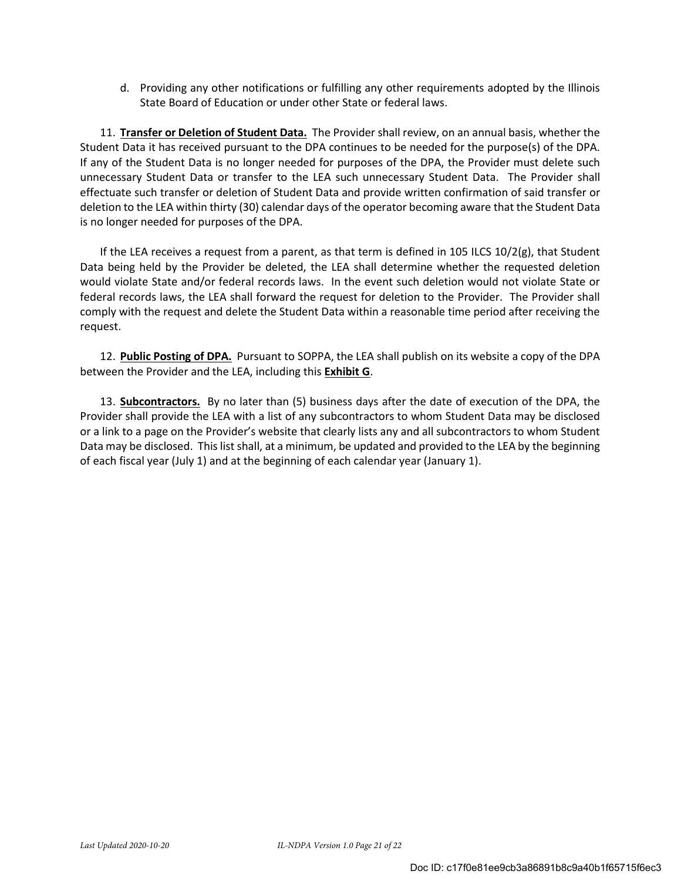d. Providing any other notifications or fulfilling any other requirements adopted by the Illinois State Board of Education or under other State or federal laws.

11. **Transfer or Deletion of Student Data.** The Provider shall review, on an annual basis, whether the Student Data it has received pursuant to the DPA continues to be needed for the purpose(s) of the DPA. If any of the Student Data is no longer needed for purposes of the DPA, the Provider must delete such unnecessary Student Data or transfer to the LEA such unnecessary Student Data. The Provider shall effectuate such transfer or deletion of Student Data and provide written confirmation of said transfer or deletion to the LEA within thirty (30) calendar days of the operator becoming aware that the Student Data is no longer needed for purposes of the DPA.

If the LEA receives a request from a parent, as that term is defined in 105 ILCS 10/2(g), that Student Data being held by the Provider be deleted, the LEA shall determine whether the requested deletion would violate State and/or federal records laws. In the event such deletion would not violate State or federal records laws, the LEA shall forward the request for deletion to the Provider. The Provider shall comply with the request and delete the Student Data within a reasonable time period after receiving the request.

12. **Public Posting of DPA.** Pursuant to SOPPA, the LEA shall publish on its website a copy of the DPA between the Provider and the LEA, including this **Exhibit G**.

13. **Subcontractors.** By no later than (5) business days after the date of execution of the DPA, the Provider shall provide the LEA with a list of any subcontractors to whom Student Data may be disclosed or a link to a page on the Provider's website that clearly lists any and all subcontractors to whom Student Data may be disclosed. This list shall, at a minimum, be updated and provided to the LEA by the beginning of each fiscal year (July 1) and at the beginning of each calendar year (January 1).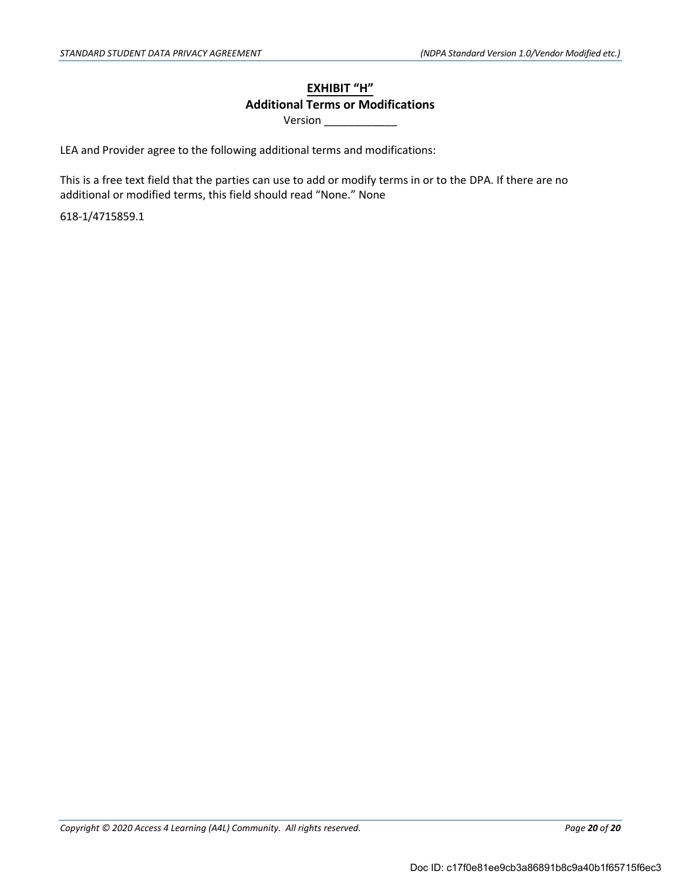## **EXHIBIT "H" Additional Terms or Modifications**

Version \_\_\_\_\_\_\_\_\_\_\_\_

LEA and Provider agree to the following additional terms and modifications:

This is a free text field that the parties can use to add or modify terms in or to the DPA. If there are no additional or modified terms, this field should read "None." None

6181/4715859.1